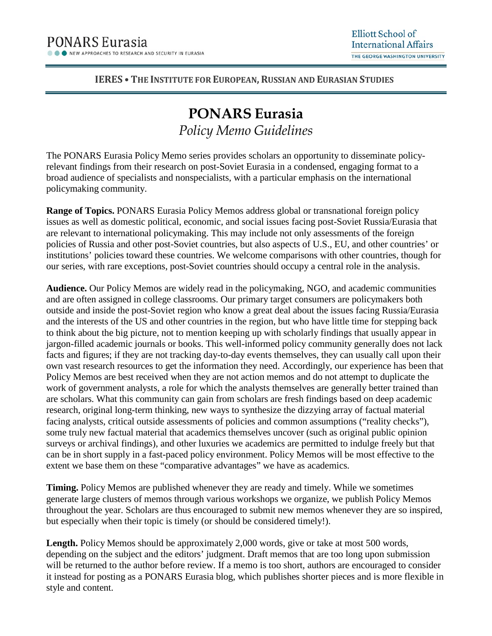## **IERES • THE INSTITUTE FOR EUROPEAN, RUSSIAN AND EURASIAN STUDIES**

## **PONARS Eurasia** *Policy Memo Guidelines*

The PONARS Eurasia Policy Memo series provides scholars an opportunity to disseminate policyrelevant findings from their research on post-Soviet Eurasia in a condensed, engaging format to a broad audience of specialists and nonspecialists, with a particular emphasis on the international policymaking community.

**Range of Topics.** PONARS Eurasia Policy Memos address global or transnational foreign policy issues as well as domestic political, economic, and social issues facing post-Soviet Russia/Eurasia that are relevant to international policymaking. This may include not only assessments of the foreign policies of Russia and other post-Soviet countries, but also aspects of U.S., EU, and other countries' or institutions' policies toward these countries. We welcome comparisons with other countries, though for our series, with rare exceptions, post-Soviet countries should occupy a central role in the analysis.

**Audience.** Our Policy Memos are widely read in the policymaking, NGO, and academic communities and are often assigned in college classrooms. Our primary target consumers are policymakers both outside and inside the post-Soviet region who know a great deal about the issues facing Russia/Eurasia and the interests of the US and other countries in the region, but who have little time for stepping back to think about the big picture, not to mention keeping up with scholarly findings that usually appear in jargon-filled academic journals or books. This well-informed policy community generally does not lack facts and figures; if they are not tracking day-to-day events themselves, they can usually call upon their own vast research resources to get the information they need. Accordingly, our experience has been that Policy Memos are best received when they are not action memos and do not attempt to duplicate the work of government analysts, a role for which the analysts themselves are generally better trained than are scholars. What this community can gain from scholars are fresh findings based on deep academic research, original long-term thinking, new ways to synthesize the dizzying array of factual material facing analysts, critical outside assessments of policies and common assumptions ("reality checks"), some truly new factual material that academics themselves uncover (such as original public opinion surveys or archival findings), and other luxuries we academics are permitted to indulge freely but that can be in short supply in a fast-paced policy environment. Policy Memos will be most effective to the extent we base them on these "comparative advantages" we have as academics.

**Timing.** Policy Memos are published whenever they are ready and timely. While we sometimes generate large clusters of memos through various workshops we organize, we publish Policy Memos throughout the year. Scholars are thus encouraged to submit new memos whenever they are so inspired, but especially when their topic is timely (or should be considered timely!).

**Length.** Policy Memos should be approximately 2,000 words, give or take at most 500 words, depending on the subject and the editors' judgment. Draft memos that are too long upon submission will be returned to the author before review. If a memo is too short, authors are encouraged to consider it instead for posting as a PONARS Eurasia blog, which publishes shorter pieces and is more flexible in style and content.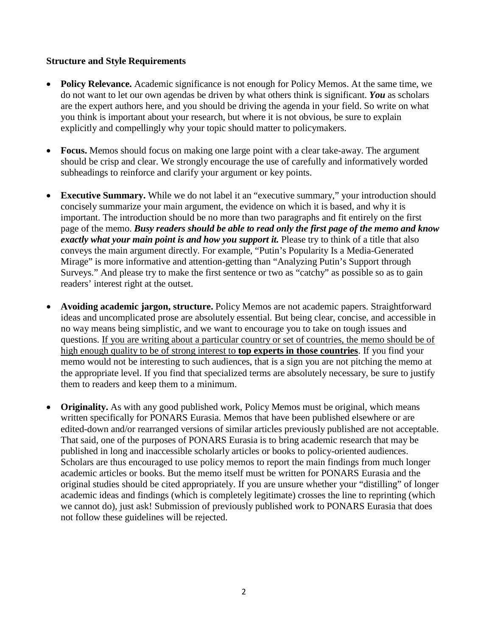## **Structure and Style Requirements**

- **Policy Relevance.** Academic significance is not enough for Policy Memos. At the same time, we do not want to let our own agendas be driven by what others think is significant. *You* as scholars are the expert authors here, and you should be driving the agenda in your field. So write on what you think is important about your research, but where it is not obvious, be sure to explain explicitly and compellingly why your topic should matter to policymakers.
- **Focus.** Memos should focus on making one large point with a clear take-away. The argument should be crisp and clear. We strongly encourage the use of carefully and informatively worded subheadings to reinforce and clarify your argument or key points.
- **Executive Summary.** While we do not label it an "executive summary," your introduction should concisely summarize your main argument, the evidence on which it is based, and why it is important. The introduction should be no more than two paragraphs and fit entirely on the first page of the memo. *Busy readers should be able to read only the first page of the memo and know exactly what your main point is and how you support it.* Please try to think of a title that also conveys the main argument directly. For example, "Putin's Popularity Is a Media-Generated Mirage" is more informative and attention-getting than "Analyzing Putin's Support through Surveys." And please try to make the first sentence or two as "catchy" as possible so as to gain readers' interest right at the outset.
- **Avoiding academic jargon, structure.** Policy Memos are not academic papers. Straightforward ideas and uncomplicated prose are absolutely essential. But being clear, concise, and accessible in no way means being simplistic, and we want to encourage you to take on tough issues and questions. If you are writing about a particular country or set of countries, the memo should be of high enough quality to be of strong interest to **top experts in those countries**. If you find your memo would not be interesting to such audiences, that is a sign you are not pitching the memo at the appropriate level. If you find that specialized terms are absolutely necessary, be sure to justify them to readers and keep them to a minimum.
- **Originality.** As with any good published work, Policy Memos must be original, which means written specifically for PONARS Eurasia. Memos that have been published elsewhere or are edited-down and/or rearranged versions of similar articles previously published are not acceptable. That said, one of the purposes of PONARS Eurasia is to bring academic research that may be published in long and inaccessible scholarly articles or books to policy-oriented audiences. Scholars are thus encouraged to use policy memos to report the main findings from much longer academic articles or books. But the memo itself must be written for PONARS Eurasia and the original studies should be cited appropriately. If you are unsure whether your "distilling" of longer academic ideas and findings (which is completely legitimate) crosses the line to reprinting (which we cannot do), just ask! Submission of previously published work to PONARS Eurasia that does not follow these guidelines will be rejected.